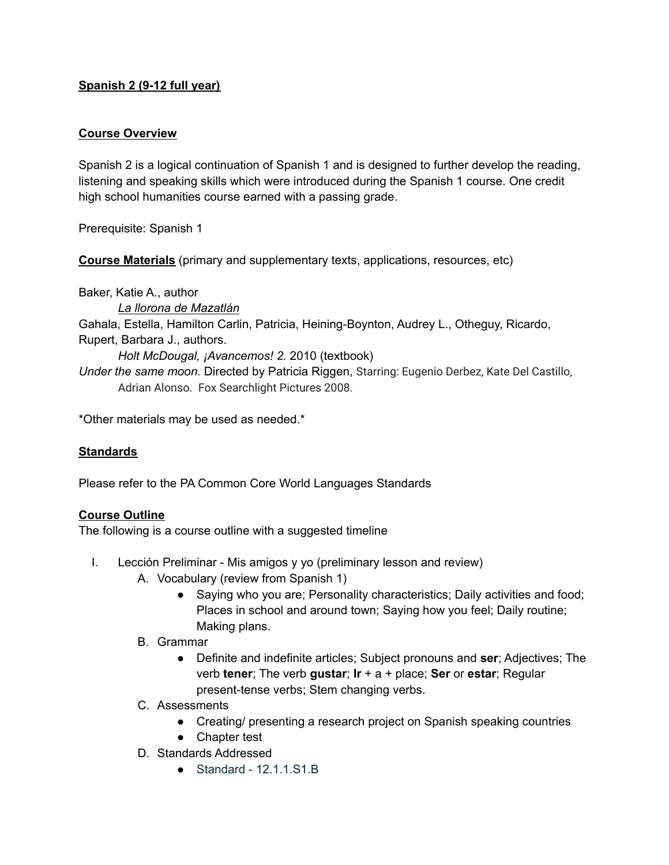# **Spanish 2 (9-12 full year)**

### **Course Overview**

Spanish 2 is a logical continuation of Spanish 1 and is designed to further develop the reading, listening and speaking skills which were introduced during the Spanish 1 course. One credit high school humanities course earned with a passing grade.

Prerequisite: Spanish 1

**Course Materials** (primary and supplementary texts, applications, resources, etc)

Baker, Katie A., author

*La llorona de Mazatlán* Gahala, Estella, Hamilton Carlin, Patricia, Heining-Boynton, Audrey L., Otheguy, Ricardo, Rupert, Barbara J., authors. *Holt McDougal, ¡Avancemos! 2.* 2010 (textbook) *Under the same moon.* Directed by Patricia Riggen, Starring: Eugenio Derbez, Kate Del Castillo,

\*Other materials may be used as needed.\*

# **Standards**

Please refer to the PA Common Core World Languages Standards

### **Course Outline**

The following is a course outline with a suggested timeline

Adrian Alonso. Fox Searchlight Pictures 2008.

- I. Lección Preliminar Mis amigos y yo (preliminary lesson and review)
	- A. Vocabulary (review from Spanish 1)
		- Saying who you are; Personality characteristics; Daily activities and food; Places in school and around town; Saying how you feel; Daily routine; Making plans.
	- B. Grammar
		- Definite and indefinite articles; Subject pronouns and **ser**; Adjectives; The verb **tener**; The verb **gustar**; **Ir** + a + place; **Ser** or **estar**; Regular present-tense verbs; Stem changing verbs.
	- C. Assessments
		- Creating/ presenting a research project on Spanish speaking countries
		- Chapter test
	- D. Standards Addressed
		- Standard 12.1.1.S1.B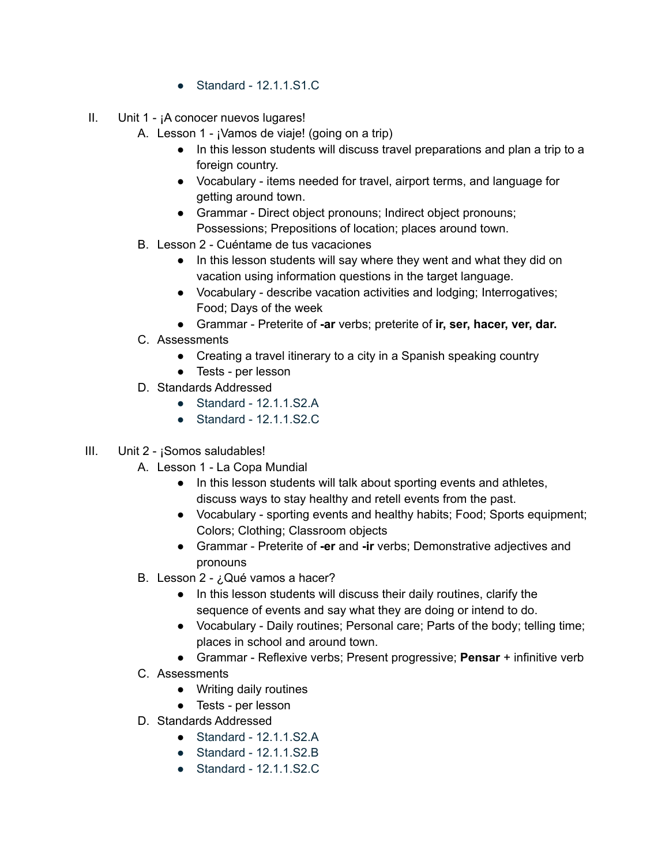- Standard 12.1.1.S1.C
- II. Unit 1 ¡A conocer nuevos lugares!
	- A. Lesson 1 ¡Vamos de viaje! (going on a trip)
		- In this lesson students will discuss travel preparations and plan a trip to a foreign country.
		- Vocabulary items needed for travel, airport terms, and language for getting around town.
		- Grammar Direct object pronouns; Indirect object pronouns; Possessions; Prepositions of location; places around town.
	- B. Lesson 2 Cuéntame de tus vacaciones
		- In this lesson students will say where they went and what they did on vacation using information questions in the target language.
		- Vocabulary describe vacation activities and lodging; Interrogatives; Food; Days of the week
		- Grammar Preterite of **-ar** verbs; preterite of **ir, ser, hacer, ver, dar.**
	- C. Assessments
		- Creating a travel itinerary to a city in a Spanish speaking country
		- Tests per lesson
	- D. Standards Addressed
		- Standard 12.1.1.S2.A
		- Standard 12.1.1.S2.C
- III. Unit 2 ¡Somos saludables!
	- A. Lesson 1 La Copa Mundial
		- In this lesson students will talk about sporting events and athletes, discuss ways to stay healthy and retell events from the past.
		- Vocabulary sporting events and healthy habits; Food; Sports equipment; Colors; Clothing; Classroom objects
		- Grammar Preterite of **-er** and **-ir** verbs; Demonstrative adjectives and pronouns
	- B. Lesson 2 ¿Qué vamos a hacer?
		- In this lesson students will discuss their daily routines, clarify the sequence of events and say what they are doing or intend to do.
		- Vocabulary Daily routines; Personal care; Parts of the body; telling time; places in school and around town.
		- Grammar Reflexive verbs; Present progressive; **Pensar** + infinitive verb
	- C. Assessments
		- Writing daily routines
		- Tests per lesson
	- D. Standards Addressed
		- Standard 12.1.1.S2.A
		- Standard 12.1.1.S2.B
		- Standard 12.1.1.S2.C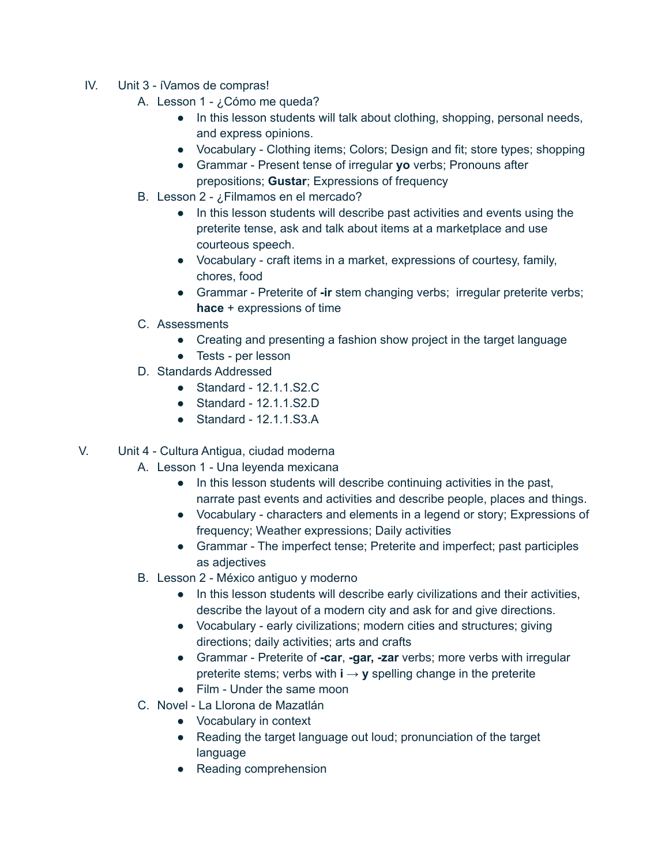- IV. Unit 3 íVamos de compras!
	- A. Lesson 1 ¿Cómo me queda?
		- In this lesson students will talk about clothing, shopping, personal needs, and express opinions.
		- Vocabulary Clothing items; Colors; Design and fit; store types; shopping
		- Grammar Present tense of irregular **yo** verbs; Pronouns after prepositions; **Gustar**; Expressions of frequency
	- B. Lesson 2 ¿Filmamos en el mercado?
		- In this lesson students will describe past activities and events using the preterite tense, ask and talk about items at a marketplace and use courteous speech.
		- Vocabulary craft items in a market, expressions of courtesy, family, chores, food
		- Grammar Preterite of **-ir** stem changing verbs; irregular preterite verbs; **hace** + expressions of time
	- C. Assessments
		- Creating and presenting a fashion show project in the target language
		- Tests per lesson
	- D. Standards Addressed
		- $\bullet$  Standard 12.1.1.S2.C.
		- Standard 12.1.1.S2.D
		- Standard 12.1.1.S3.A
- V. Unit 4 Cultura Antigua, ciudad moderna
	- A. Lesson 1 Una leyenda mexicana
		- In this lesson students will describe continuing activities in the past, narrate past events and activities and describe people, places and things.
		- Vocabulary characters and elements in a legend or story; Expressions of frequency; Weather expressions; Daily activities
		- Grammar The imperfect tense; Preterite and imperfect; past participles as adjectives
	- B. Lesson 2 México antiguo y moderno
		- In this lesson students will describe early civilizations and their activities, describe the layout of a modern city and ask for and give directions.
		- Vocabulary early civilizations; modern cities and structures; giving directions; daily activities; arts and crafts
		- Grammar Preterite of **-car**, **-gar, -zar** verbs; more verbs with irregular preterite stems; verbs with  $\mathbf{i} \rightarrow \mathbf{v}$  spelling change in the preterite
		- Film Under the same moon
	- C. Novel La Llorona de Mazatlán
		- Vocabulary in context
		- Reading the target language out loud; pronunciation of the target language
		- Reading comprehension